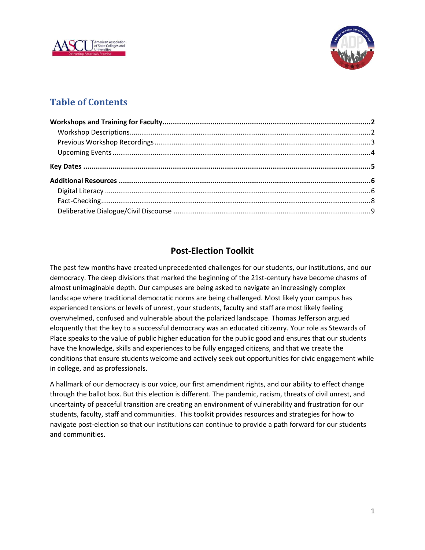



# **Table of Contents**

# **Post-Election Toolkit**

The past few months have created unprecedented challenges for our students, our institutions, and our democracy. The deep divisions that marked the beginning of the 21st-century have become chasms of almost unimaginable depth. Our campuses are being asked to navigate an increasingly complex landscape where traditional democratic norms are being challenged. Most likely your campus has experienced tensions or levels of unrest, your students, faculty and staff are most likely feeling overwhelmed, confused and vulnerable about the polarized landscape. Thomas Jefferson argued eloquently that the key to a successful democracy was an educated citizenry. Your role as Stewards of Place speaks to the value of public higher education for the public good and ensures that our students have the knowledge, skills and experiences to be fully engaged citizens, and that we create the conditions that ensure students welcome and actively seek out opportunities for civic engagement while in college, and as professionals.

A hallmark of our democracy is our voice, our first amendment rights, and our ability to effect change through the ballot box. But this election is different. The pandemic, racism, threats of civil unrest, and uncertainty of peaceful transition are creating an environment of vulnerability and frustration for our students, faculty, staff and communities. This toolkit provides resources and strategies for how to navigate post-election so that our institutions can continue to provide a path forward for our students and communities.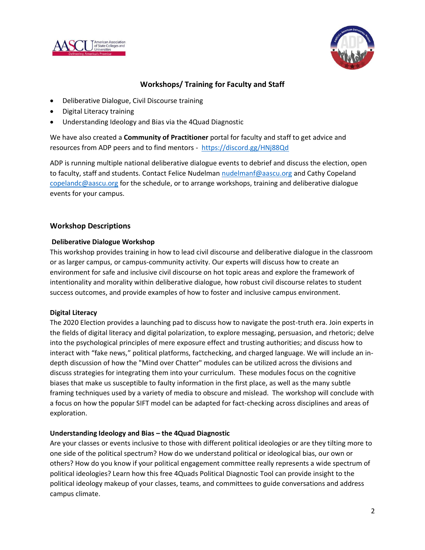



### **Workshops/ Training for Faculty and Staff**

- Deliberative Dialogue, Civil Discourse training
- Digital Literacy training
- Understanding Ideology and Bias via the 4Quad Diagnostic

We have also created a **Community of Practitioner** portal for faculty and staff to get advice and resources from ADP peers and to find mentors - <https://discord.gg/HNj88Qd>

ADP is running multiple national deliberative dialogue events to debrief and discuss the election, open to faculty, staff and students. Contact Felice Nudelman [nudelmanf@aascu.org](mailto:nudelmanf@aascu.org) and Cathy Copeland [copelandc@aascu.org](mailto:copelandc@aascu.org) for the schedule, or to arrange workshops, training and deliberative dialogue events for your campus.

#### **Workshop Descriptions**

#### **Deliberative Dialogue Workshop**

This workshop provides training in how to lead civil discourse and deliberative dialogue in the classroom or as larger campus, or campus-community activity. Our experts will discuss how to create an environment for safe and inclusive civil discourse on hot topic areas and explore the framework of intentionality and morality within deliberative dialogue, how robust civil discourse relates to student success outcomes, and provide examples of how to foster and inclusive campus environment.

#### **Digital Literacy**

The 2020 Election provides a launching pad to discuss how to navigate the post-truth era. Join experts in the fields of digital literacy and digital polarization, to explore messaging, persuasion, and rhetoric; delve into the psychological principles of mere exposure effect and trusting authorities; and discuss how to interact with "fake news," political platforms, factchecking, and charged language. We will include an indepth discussion of how the "Mind over Chatter" modules can be utilized across the divisions and discuss strategies for integrating them into your curriculum. These modules focus on the cognitive biases that make us susceptible to faulty information in the first place, as well as the many subtle framing techniques used by a variety of media to obscure and mislead. The workshop will conclude with a focus on how the popular SIFT model can be adapted for fact-checking across disciplines and areas of exploration.

#### **Understanding Ideology and Bias – the 4Quad Diagnostic**

Are your classes or events inclusive to those with different political ideologies or are they tilting more to one side of the political spectrum? How do we understand political or ideological bias, our own or others? How do you know if your political engagement committee really represents a wide spectrum of political ideologies? Learn how this free 4Quads Political Diagnostic Tool can provide insight to the political ideology makeup of your classes, teams, and committees to guide conversations and address campus climate.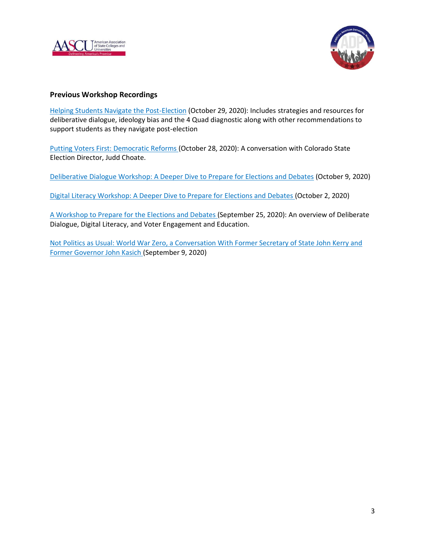



#### **Previous Workshop Recordings**

[Helping Students Navigate the Post-Election](https://aascu.sharepoint.com/:v:/s/alc/EWsXKlIw_51GiU0AIadzW88B_OzmmtjWneaS3tJV0q3CJw) (October 29, 2020): Includes strategies and resources for deliberative dialogue, ideology bias and the 4 Quad diagnostic along with other recommendations to support students as they navigate post-election

[Putting Voters First: Democratic Reforms](https://zoom.us/rec/share/Y5MS1UkpAlA1EuUPp9ibdupoQa8LZWVBSKGcmqIfTn0-tiBanUm128yfmCN1g7hc.B12Pnwm68PRHR515?startTime=1603906667000) (October 28, 2020): A conversation with Colorado State Election Director, Judd Choate.

[Deliberative Dialogue Workshop: A Deeper Dive to Prepare for Elections and Debates](https://aascu.sharepoint.com/:v:/s/alc/EbT0AkyyevtDsMtV9C9oqdEBFpiE7YVk15csMEPezc1asQ) (October 9, 2020)

[Digital Literacy Workshop: A Deeper Dive to Prepare for Elections and Debates](https://aascu.sharepoint.com/:v:/s/alc/Eb78liBFiYRCp2o48zaibrUBF9N1M6CK3iCAU9WA2aMB6A) (October 2, 2020)

[A Workshop to Prepare for](https://aascu.sharepoint.com/:v:/s/alc/ET4fBY5lpJpEhgdevcHX-n0BYbNO1DAeGJpccOLFlmS0mQ) the Elections and Debates (September 25, 2020): An overview of Deliberate Dialogue, Digital Literacy, and Voter Engagement and Education.

[Not Politics as Usual: World War Zero, a Conversation With Former Secretary of State John Kerry and](https://us02web.zoom.us/rec/share/jhVcUWmN1z_rBSC_gnC2pHl5NsG6qbdvUd_Co_3HdSjcJUlA59rcy6uPawf9TGmW.IPWQCojprAnjULx8?startTime=1599674450000)  [Former Governor John Kasich](https://us02web.zoom.us/rec/share/jhVcUWmN1z_rBSC_gnC2pHl5NsG6qbdvUd_Co_3HdSjcJUlA59rcy6uPawf9TGmW.IPWQCojprAnjULx8?startTime=1599674450000) (September 9, 2020)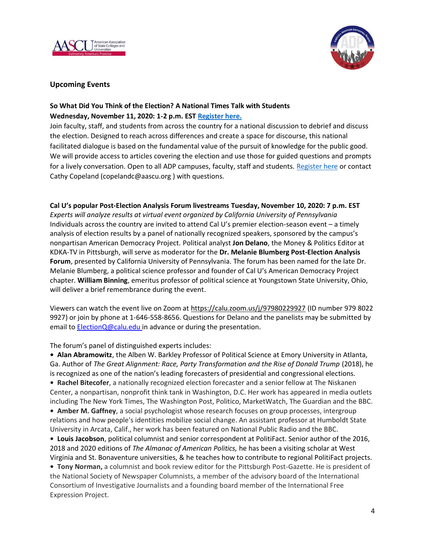



### **Upcoming Events**

### **So What Did You Think of the Election? A National Times Talk with Students Wednesday, November 11, 2020: 1-2 p.m. EST [Register here.](https://us02web.zoom.us/meeting/register/tZUkfuygqTssGNUXR0Hq7apeP6e5QLX7OJ3a)**

Join faculty, staff, and students from across the country for a national discussion to debrief and discuss the election. Designed to reach across differences and create a space for discourse, this national facilitated dialogue is based on the fundamental value of the pursuit of knowledge for the public good. We will provide access to articles covering the election and use those for guided questions and prompts for a lively conversation. Open to all ADP campuses, faculty, staff and students. [Register here](https://us02web.zoom.us/meeting/register/tZUkfuygqTssGNUXR0Hq7apeP6e5QLX7OJ3a) or contact Cathy Copeland (copelandc@aascu.org ) with questions.

**Cal U's popular Post-Election Analysis Forum livestreams Tuesday, November 10, 2020: 7 p.m. EST** *Experts will analyze results at virtual event organized by California University of Pennsylvania* Individuals across the country are invited to attend Cal U's premier election-season event – a timely analysis of election results by a panel of nationally recognized speakers, sponsored by the campus's nonpartisan American Democracy Project*.* Political analyst **Jon Delano**, the Money & Politics Editor at KDKA-TV in Pittsburgh, will serve as moderator for the **Dr. Melanie Blumberg Post-Election Analysis Forum**, presented by California University of Pennsylvania. The forum has been named for the late Dr. Melanie Blumberg, a political science professor and founder of Cal U's American Democracy Project chapter. **William Binning**, emeritus professor of political science at Youngstown State University, Ohio, will deliver a brief remembrance during the event.

Viewers can watch the event live on Zoom at [https://calu.zoom.us/j/97980229927](https://nam02.safelinks.protection.outlook.com/?url=https%3A%2F%2Fcalu.zoom.us%2Fj%2F97980229927&data=02%7C01%7Ckindl%40calu.edu%7C2ba39a66d3c24499af4708d866c30792%7C62727258691648be8f9920635977badd%7C0%7C0%7C637372335115566754&sdata=haJw%2FPXMtprfASHZt7rjW5SK7kNVJtV%2BAj9vnV6Otlw%3D&reserved=0) (ID number 979 8022 9927) or join by phone at 1-646-558-8656. Questions for Delano and the panelists may be submitted by email to [ElectionQ@calu.edu](mailto:ElectionQ@calu.edu) in advance or during the presentation.

The forum's panel of distinguished experts includes:

**• Alan Abramowitz**, the Alben W. Barkley Professor of Political Science at Emory University in Atlanta, Ga. Author of *The Great Alignment: Race, Party Transformation and the Rise of Donald Trump* (2018), he is recognized as one of the nation's leading forecasters of presidential and congressional elections. **• Rachel Bitecofer**, a nationally recognized election forecaster and a senior fellow at The Niskanen Center, a nonpartisan, nonprofit think tank in Washington, D.C. Her work has appeared in media outlets including The New York Times, The Washington Post, Politico, MarketWatch, The Guardian and the BBC. **• Amber M. Gaffney**, a social psychologist whose research focuses on group processes, intergroup relations and how people's identities mobilize social change. An assistant professor at Humboldt State University in Arcata, Calif., her work has been featured on National Public Radio and the BBC. **• Louis Jacobson**, political columnist and senior correspondent at PolitiFact. Senior author of the 2016, 2018 and 2020 editions of *The Almanac of American Politics,* he has been a visiting scholar at West Virginia and St. Bonaventure universities, & he teaches how to contribute to regional PolitiFact projects. **• Tony Norman,** a columnist and book review editor for the Pittsburgh Post-Gazette. He is president of the National Society of Newspaper Columnists, a member of the advisory board of the International Consortium of Investigative Journalists and a founding board member of the International Free Expression Project.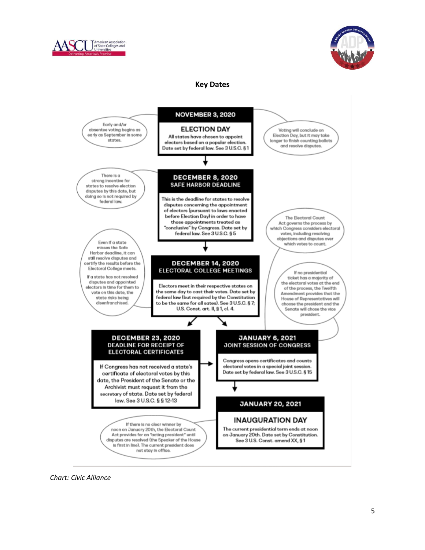



### **Key Dates**



*Chart: Civic Alliance*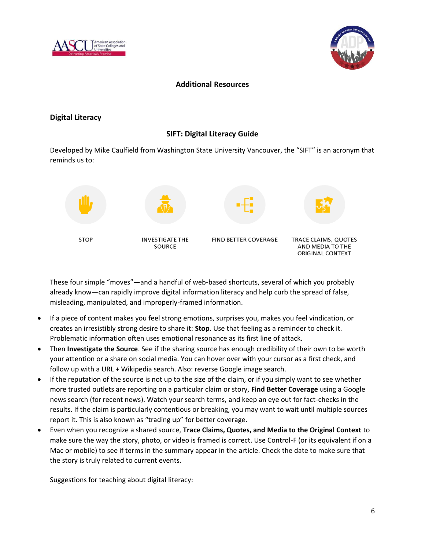



### **Additional Resources**

### **Digital Literacy**

### **SIFT: Digital Literacy Guide**

Developed by Mike Caulfield from Washington State University Vancouver, the "SIFT" is an acronym that reminds us to:



These four simple "moves"—and a handful of web-based shortcuts, several of which you probably already know—can rapidly improve digital information literacy and help curb the spread of false, misleading, manipulated, and improperly-framed information.

- If a piece of content makes you feel strong emotions, surprises you, makes you feel vindication, or creates an irresistibly strong desire to share it: **Stop**. Use that feeling as a reminder to check it. Problematic information often uses emotional resonance as its first line of attack.
- Then **Investigate the Source**. See if the sharing source has enough credibility of their own to be worth your attention or a share on social media. You can hover over with your cursor as a first check, and follow up with a URL + Wikipedia search. Also: reverse Google image search.
- If the reputation of the source is not up to the size of the claim, or if you simply want to see whether more trusted outlets are reporting on a particular claim or story, **Find Better Coverage** using a Google news search (for recent news). Watch your search terms, and keep an eye out for fact-checks in the results. If the claim is particularly contentious or breaking, you may want to wait until multiple sources report it. This is also known as "trading up" for better coverage.
- Even when you recognize a shared source, **Trace Claims, Quotes, and Media to the Original Context** to make sure the way the story, photo, or video is framed is correct. Use Control-F (or its equivalent if on a Mac or mobile) to see if terms in the summary appear in the article. Check the date to make sure that the story is truly related to current events.

Suggestions for teaching about digital literacy: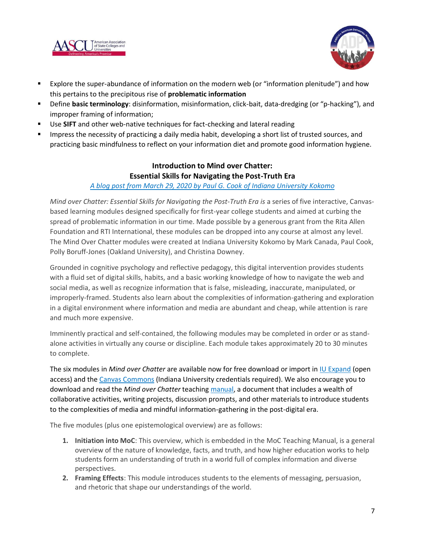



- Explore the super-abundance of information on the modern web (or "information plenitude") and how this pertains to the precipitous rise of **problematic information**
- Define **basic terminology**: disinformation, misinformation, click-bait, data-dredging (or "p-hacking"), and improper framing of information;
- Use SIFT and other web-native techniques for fact-checking and lateral reading
- Impress the necessity of practicing a daily media habit, developing a short list of trusted sources, and practicing basic mindfulness to reflect on your information diet and promote good information hygiene.

## **Introduction to Mind over Chatter: Essential Skills for Navigating the Post-Truth Era**

#### *[A blog post from March 29, 2020 by Paul G. Cook](https://paulgcook.org/2020/03/29/mind-over-chatter-essential-skills-for-navigating-the-post-truth-era/) of Indiana University Kokomo*

*Mind over Chatter: Essential Skills for Navigating the Post-Truth Era is* a series of five interactive, Canvasbased learning modules designed specifically for first-year college students and aimed at curbing the spread of problematic information in our time. Made possible by a generous grant from the Rita Allen Foundation and RTI International, these modules can be dropped into any course at almost any level. The Mind Over Chatter modules were created at Indiana University Kokomo by Mark Canada, Paul Cook, Polly Boruff-Jones (Oakland University), and Christina Downey.

Grounded in cognitive psychology and reflective pedagogy, this digital intervention provides students with a fluid set of digital skills, habits, and a basic working knowledge of how to navigate the web and social media, as well as recognize information that is false, misleading, inaccurate, manipulated, or improperly-framed. Students also learn about the complexities of information-gathering and exploration in a digital environment where information and media are abundant and cheap, while attention is rare and much more expensive.

Imminently practical and self-contained, the following modules may be completed in order or as standalone activities in virtually any course or discipline. Each module takes approximately 20 to 30 minutes to complete.

The six modules in *Mind over Chatter* are available now for free download or import i[n IU Expand](https://expand.iu.edu/browse/moc/courses/mind-over-chatter#:~:text=Mind%20Over%20Chatter%20contains%20materials,who%20are%20disseminating%20the%20content.) (open access) and the [Canvas Commons](https://iu.instructure.com/accounts/98865/external_tools/135244?launch_type=global_navigation) (Indiana University credentials required). We also encourage you to download and read the *Mind over Chatter* teachin[g manual,](https://paulgcookorg.files.wordpress.com/2020/03/moc-instructor-manual_10.10.19_final.docx) a document that includes a wealth of collaborative activities, writing projects, discussion prompts, and other materials to introduce students to the complexities of media and mindful information-gathering in the post-digital era.

The five modules (plus one epistemological overview) are as follows:

- **1. Initiation into MoC**: This overview, which is embedded in the MoC Teaching Manual, is a general overview of the nature of knowledge, facts, and truth, and how higher education works to help students form an understanding of truth in a world full of complex information and diverse perspectives.
- **2. Framing Effects**: This module introduces students to the elements of messaging, persuasion, and rhetoric that shape our understandings of the world.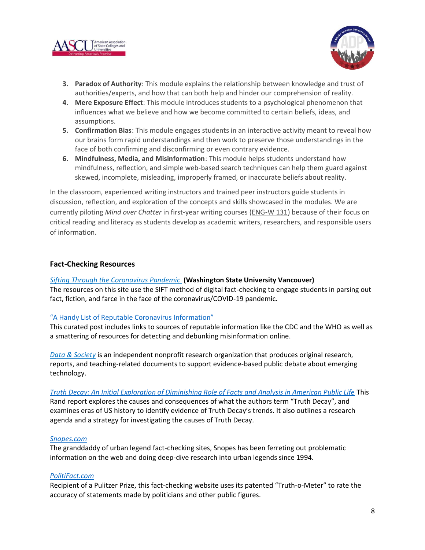



- **3. Paradox of Authority**: This module explains the relationship between knowledge and trust of authorities/experts, and how that can both help and hinder our comprehension of reality.
- **4. Mere Exposure Effect**: This module introduces students to a psychological phenomenon that influences what we believe and how we become committed to certain beliefs, ideas, and assumptions.
- **5. Confirmation Bias**: This module engages students in an interactive activity meant to reveal how our brains form rapid understandings and then work to preserve those understandings in the face of both confirming and disconfirming or even contrary evidence.
- **6. Mindfulness, Media, and Misinformation**: This module helps students understand how mindfulness, reflection, and simple web-based search techniques can help them guard against skewed, incomplete, misleading, improperly framed, or inaccurate beliefs about reality.

In the classroom, experienced writing instructors and trained peer instructors guide students in discussion, reflection, and exploration of the concepts and skills showcased in the modules. We are currently piloting *Mind over Chatter* in first-year writing courses [\(ENG-W 131\)](https://paulgcook.org/2017/08/10/eng-w-131-reading-writing-inquiry-i/) because of their focus on critical reading and literacy as students develop as academic writers, researchers, and responsible users of information.

#### **Fact-Checking Resources**

*[Sifting Through the Coronavirus Pandemic](https://infodemic.blog/)* **(Washington State University Vancouver)**

The resources on this site use the SIFT method of digital fact-checking to engage students in parsing out fact, fiction, and farce in the face of the coronavirus/COVID-19 pandemic.

#### ["A Handy List of Reputable Coronavirus Information"](https://medium.com/@melissaryan/a-handy-list-of-reputable-coronavirus-information-78b9aa153928)

This curated post includes links to sources of reputable information like the CDC and the WHO as well as a smattering of resources for detecting and debunking misinformation online.

*[Data & Society](https://datasociety.net/)* is an independent nonprofit research organization that produces original research, reports, and teaching-related documents to support evidence-based public debate about emerging technology.

*[Truth Decay: An Initial Exploration of Diminishing Role of Facts and Analysis in American Public Life](https://www.rand.org/pubs/research_reports/RR2314.html)* This Rand report explores the causes and consequences of what the authors term "Truth Decay", and examines eras of US history to identify evidence of Truth Decay's trends. It also outlines a research agenda and a strategy for investigating the causes of Truth Decay.

#### *[Snopes.com](http://snopes.com/)*

The granddaddy of urban legend fact-checking sites, Snopes has been ferreting out problematic information on the web and doing deep-dive research into urban legends since 1994.

#### *[PolitiFact.com](http://politifact.com/)*

Recipient of a Pulitzer Prize, this fact-checking website uses its patented "Truth-o-Meter" to rate the accuracy of statements made by politicians and other public figures.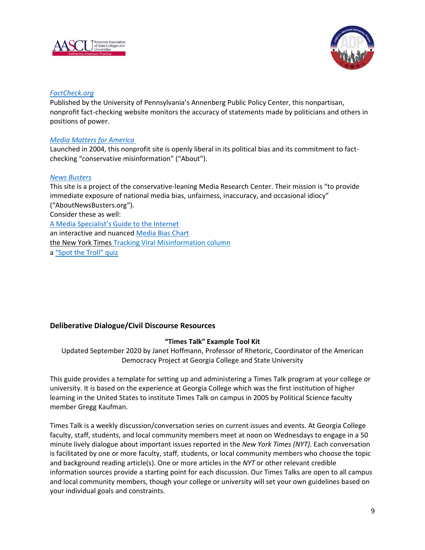



#### *[FactCheck.org](http://factcheck.org/)*

Published by the University of Pennsylvania's Annenberg Public Policy Center, this nonpartisan, nonprofit fact-checking website monitors the accuracy of statements made by politicians and others in positions of power.

#### *[Media Matters for America](http://mediamatters.org/)*

Launched in 2004, this nonprofit site is openly liberal in its political bias and its commitment to factchecking "conservative misinformation" ("About").

#### *[News Busters](http://newsbusters.org/)*

This site is a project of the conservative-leaning Media Research Center. Their mission is "to provide immediate exposure of national media bias, unfairness, inaccuracy, and occasional idiocy" ("AboutNewsBusters.org"). Consider these as well: [A Media Specialist's Guide to the Internet](https://mediaspecialistsguide.blogspot.com/2020/08/10-non-partisan-fact-checking-websites.html?) an interactive and nuanced [Media Bias Chart](https://www.adfontesmedia.com/interactive-media-bias-chart-2/) the New York Times [Tracking Viral Misinformation column](https://www.nytimes.com/live/2020/2020-election-misinformation-distortions#chinese-virologist-covid-19) a ["Spot the Troll" quiz](https://spotthetroll.org/)

### **Deliberative Dialogue/Civil Discourse Resources**

#### **"Times Talk" Example Tool Kit**

Updated September 2020 by Janet Hoffmann, Professor of Rhetoric, Coordinator of the American Democracy Project at Georgia College and State University

This guide provides a template for setting up and administering a Times Talk program at your college or university. It is based on the experience at Georgia College which was the first institution of higher learning in the United States to institute Times Talk on campus in 2005 by Political Science faculty member Gregg Kaufman.

Times Talk is a weekly discussion/conversation series on current issues and events. At Georgia College faculty, staff, students, and local community members meet at noon on Wednesdays to engage in a 50 minute lively dialogue about important issues reported in the *New York Times (NYT)*. Each conversation is facilitated by one or more faculty, staff, students, or local community members who choose the topic and background reading article(s). One or more articles in the *NYT* or other relevant credible information sources provide a starting point for each discussion. Our Times Talks are open to all campus and local community members, though your college or university will set your own guidelines based on your individual goals and constraints.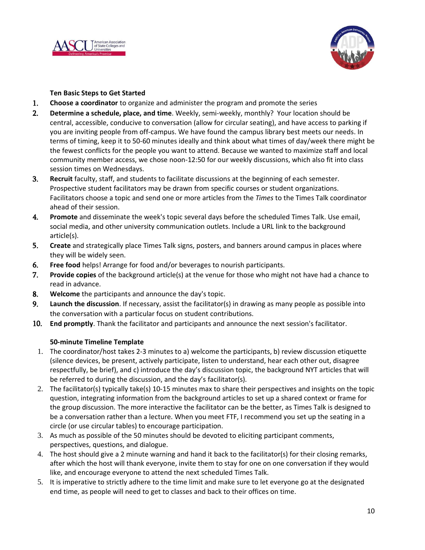



#### **Ten Basic Steps to Get Started**

- 1. **Choose a coordinator** to organize and administer the program and promote the series
- 2. **Determine a schedule, place, and time**. Weekly, semi-weekly, monthly? Your location should be central, accessible, conducive to conversation (allow for circular seating), and have access to parking if you are inviting people from off-campus. We have found the campus library best meets our needs. In terms of timing, keep it to 50-60 minutes ideally and think about what times of day/week there might be the fewest conflicts for the people you want to attend. Because we wanted to maximize staff and local community member access, we chose noon-12:50 for our weekly discussions, which also fit into class session times on Wednesdays.
- 3. **Recruit** faculty, staff, and students to facilitate discussions at the beginning of each semester. Prospective student facilitators may be drawn from specific courses or student organizations. Facilitators choose a topic and send one or more articles from the *Times* to the Times Talk coordinator ahead of their session.
- 4. **Promote** and disseminate the week's topic several days before the scheduled Times Talk. Use email, social media, and other university communication outlets. Include a URL link to the background article(s).
- 5. **Create** and strategically place Times Talk signs, posters, and banners around campus in places where they will be widely seen.
- 6. **Free food** helps! Arrange for food and/or beverages to nourish participants.
- 7. **Provide copies** of the background article(s) at the venue for those who might not have had a chance to read in advance.
- 8. **Welcome** the participants and announce the day's topic.
- 9. **Launch the discussion**. If necessary, assist the facilitator(s) in drawing as many people as possible into the conversation with a particular focus on student contributions.
- 10. **End promptly**. Thank the facilitator and participants and announce the next session's facilitator.

#### **50-minute Timeline Template**

- 1. The coordinator/host takes 2-3 minutes to a) welcome the participants, b) review discussion etiquette (silence devices, be present, actively participate, listen to understand, hear each other out, disagree respectfully, be brief), and c) introduce the day's discussion topic, the background NYT articles that will be referred to during the discussion, and the day's facilitator(s).
- 2. The facilitator(s) typically take(s) 10-15 minutes max to share their perspectives and insights on the topic question, integrating information from the background articles to set up a shared context or frame for the group discussion. The more interactive the facilitator can be the better, as Times Talk is designed to be a conversation rather than a lecture. When you meet FTF, I recommend you set up the seating in a circle (or use circular tables) to encourage participation.
- 3. As much as possible of the 50 minutes should be devoted to eliciting participant comments, perspectives, questions, and dialogue.
- 4. The host should give a 2 minute warning and hand it back to the facilitator(s) for their closing remarks, after which the host will thank everyone, invite them to stay for one on one conversation if they would like, and encourage everyone to attend the next scheduled Times Talk.
- 5. It is imperative to strictly adhere to the time limit and make sure to let everyone go at the designated end time, as people will need to get to classes and back to their offices on time.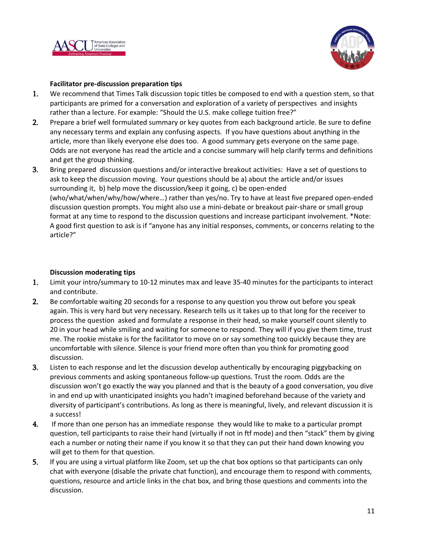



#### **Facilitator pre-discussion preparation tips**

- 1. We recommend that Times Talk discussion topic titles be composed to end with a question stem, so that participants are primed for a conversation and exploration of a variety of perspectives and insights rather than a lecture. For example: "Should the U.S. make college tuition free?"
- 2. Prepare a brief well formulated summary or key quotes from each background article. Be sure to define any necessary terms and explain any confusing aspects. If you have questions about anything in the article, more than likely everyone else does too. A good summary gets everyone on the same page. Odds are not everyone has read the article and a concise summary will help clarify terms and definitions and get the group thinking.
- 3. Bring prepared discussion questions and/or interactive breakout activities: Have a set of questions to ask to keep the discussion moving. Your questions should be a) about the article and/or issues surrounding it, b) help move the discussion/keep it going, c) be open-ended (who/what/when/why/how/where…) rather than yes/no. Try to have at least five prepared open-ended discussion question prompts. You might also use a mini-debate or breakout pair-share or small group format at any time to respond to the discussion questions and increase participant involvement. \*Note: A good first question to ask is if "anyone has any initial responses, comments, or concerns relating to the article?"

#### **Discussion moderating tips**

- 1. Limit your intro/summary to 10-12 minutes max and leave 35-40 minutes for the participants to interact and contribute.
- 2. Be comfortable waiting 20 seconds for a response to any question you throw out before you speak again. This is very hard but very necessary. Research tells us it takes up to that long for the receiver to process the question asked and formulate a response in their head, so make yourself count silently to 20 in your head while smiling and waiting for someone to respond. They will if you give them time, trust me. The rookie mistake is for the facilitator to move on or say something too quickly because they are uncomfortable with silence. Silence is your friend more often than you think for promoting good discussion.
- 3. Listen to each response and let the discussion develop authentically by encouraging piggybacking on previous comments and asking spontaneous follow-up questions. Trust the room. Odds are the discussion won't go exactly the way you planned and that is the beauty of a good conversation, you dive in and end up with unanticipated insights you hadn't imagined beforehand because of the variety and diversity of participant's contributions. As long as there is meaningful, lively, and relevant discussion it is a success!
- 4. If more than one person has an immediate response they would like to make to a particular prompt question, tell participants to raise their hand (virtually if not in ftf mode) and then "stack" them by giving each a number or noting their name if you know it so that they can put their hand down knowing you will get to them for that question.
- 5. If you are using a virtual platform like Zoom, set up the chat box options so that participants can only chat with everyone (disable the private chat function), and encourage them to respond with comments, questions, resource and article links in the chat box, and bring those questions and comments into the discussion.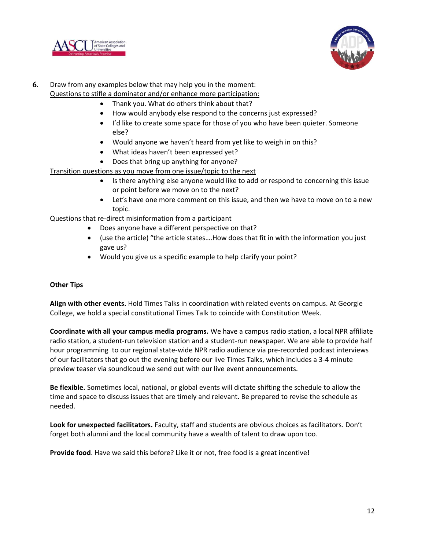



## 6. Draw from any examples below that may help you in the moment: Questions to stifle a dominator and/or enhance more participation:

- Thank you. What do others think about that?
- How would anybody else respond to the concerns just expressed?
- I'd like to create some space for those of you who have been quieter. Someone else?
- Would anyone we haven't heard from yet like to weigh in on this?
- What ideas haven't been expressed yet?
- Does that bring up anything for anyone?

Transition questions as you move from one issue/topic to the next

- Is there anything else anyone would like to add or respond to concerning this issue or point before we move on to the next?
- Let's have one more comment on this issue, and then we have to move on to a new topic.

Questions that re-direct misinformation from a participant

- Does anyone have a different perspective on that?
- (use the article) "the article states….How does that fit in with the information you just gave us?
- Would you give us a specific example to help clarify your point?

#### **Other Tips**

**Align with other events.** Hold Times Talks in coordination with related events on campus. At Georgie College, we hold a special constitutional Times Talk to coincide with Constitution Week.

**Coordinate with all your campus media programs.** We have a campus radio station, a local NPR affiliate radio station, a student-run television station and a student-run newspaper. We are able to provide half hour programming to our regional state-wide NPR radio audience via pre-recorded podcast interviews of our facilitators that go out the evening before our live Times Talks, which includes a 3-4 minute preview teaser via soundlcoud we send out with our live event announcements.

**Be flexible.** Sometimes local, national, or global events will dictate shifting the schedule to allow the time and space to discuss issues that are timely and relevant. Be prepared to revise the schedule as needed.

**Look for unexpected facilitators.** Faculty, staff and students are obvious choices as facilitators. Don't forget both alumni and the local community have a wealth of talent to draw upon too.

**Provide food**. Have we said this before? Like it or not, free food is a great incentive!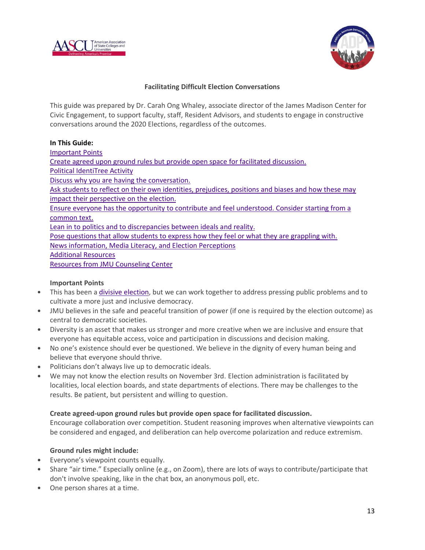



#### **Facilitating Difficult Election Conversations**

This guide was prepared by Dr. Carah Ong Whaley, associate director of the James Madison Center for Civic Engagement, to support faculty, staff, Resident Advisors, and students to engage in constructive conversations around the 2020 Elections, regardless of the outcomes.

#### **In This Guide:**

[Important](https://www.jmu.edu/civic/election-discussions.shtml#important-points) Points

Create agreed upon ground rules but provide open space for facilitated [discussion.](https://www.jmu.edu/civic/election-discussions.shtml#ground-rules)

Political [IdentiTree](https://www.jmu.edu/civic/election-discussions.shtml#identitree) Activity

Discuss why you are having the [conversation.](https://www.jmu.edu/civic/election-discussions.shtml#why-conversation)

Ask students to reflect on their own identities, [prejudices,](https://www.jmu.edu/civic/election-discussions.shtml#reflect) positions and biases and how these may impact their [perspective](https://www.jmu.edu/civic/election-discussions.shtml#reflect) on the election.

Ensure everyone has the opportunity to contribute and feel [understood.](https://www.jmu.edu/civic/election-discussions.shtml#common-text) Consider starting from a [common](https://www.jmu.edu/civic/election-discussions.shtml#common-text) text.

Lean in to politics and to [discrepancies](https://www.jmu.edu/civic/election-discussions.shtml#politics) between ideals and reality.

Pose [questions](https://www.jmu.edu/civic/election-discussions.shtml#grappling) that allow students to express how they feel or what they are grappling with.

News [information,](https://www.jmu.edu/civic/election-discussions.shtml#literacy) Media Literacy, and Election Perceptions

#### [Additional](https://www.jmu.edu/civic/election-discussions.shtml#resources) Resources

Resources from JMU [Counseling](https://www.jmu.edu/civic/election-discussions.shtml#counseling) Center

#### **Important Points**

- This has been a divisive [election,](https://www.pewresearch.org/politics/2020/10/09/amid-campaign-turmoil-biden-holds-wide-leads-on-coronavirus-unifying-the-country/) but we can work together to address pressing public problems and to cultivate a more just and inclusive democracy.
- JMU believes in the safe and peaceful transition of power (if one is required by the election outcome) as central to democratic societies.
- Diversity is an asset that makes us stronger and more creative when we are inclusive and ensure that everyone has equitable access, voice and participation in discussions and decision making.
- No one's existence should ever be questioned. We believe in the dignity of every human being and believe that everyone should thrive.
- Politicians don't always live up to democratic ideals.
- We may not know the election results on November 3rd. Election administration is facilitated by localities, local election boards, and state departments of elections. There may be challenges to the results. Be patient, but persistent and willing to question.

#### **Create agreed-upon ground rules but provide open space for facilitated discussion.**

Encourage collaboration over competition. Student reasoning improves when alternative viewpoints can be considered and engaged, and deliberation can help overcome polarization and reduce extremism.

#### **Ground rules might include:**

- Everyone's viewpoint counts equally.
- Share "air time." Especially online (e.g., on Zoom), there are lots of ways to contribute/participate that don't involve speaking, like in the chat box, an anonymous poll, etc.
- One person shares at a time.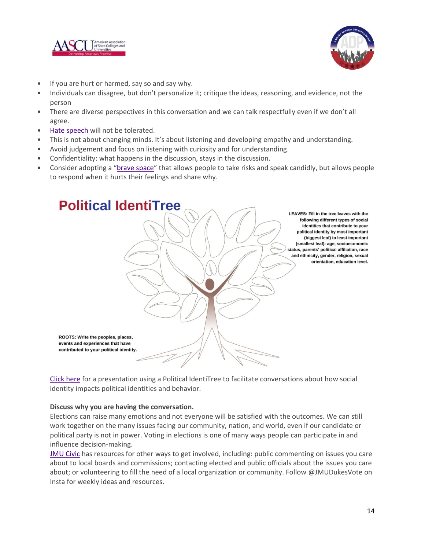



- If you are hurt or harmed, say so and say why.
- Individuals can disagree, but don't personalize it; critique the ideas, reasoning, and evidence, not the person
- There are diverse perspectives in this conversation and we can talk respectfully even if we don't all agree.
- Hate [speech](http://www.ala.org/advocacy/intfreedom/hate) will not be tolerated.
- This is not about changing minds. It's about listening and developing empathy and understanding.
- Avoid judgement and focus on listening with curiosity and for understanding.
- Confidentiality: what happens in the discussion, stays in the discussion.
- Consider adopting a "brave [space](http://www.gvsu.edu/cms4/asset/843249C9-B1E5-BD47-A25EDBC68363B726/from-safe-spaces-to-brave-spaces.pdf)" that allows people to take risks and speak candidly, but allows people to respond when it hurts their feelings and share why.



[Click](http://bit.ly/politicalidentitree) here for a presentation using a Political IdentiTree to facilitate conversations about how social identity impacts political identities and behavior.

#### **Discuss why you are having the conversation.**

Elections can raise many emotions and not everyone will be satisfied with the outcomes. We can still work together on the many issues facing our community, nation, and world, even if our candidate or political party is not in power. Voting in elections is one of many ways people can participate in and influence decision-making.

JMU [Civic](https://www.jmu.edu/civic/) has resources for other ways to get involved, including: public commenting on issues you care about to local boards and commissions; contacting elected and public officials about the issues you care about; or volunteering to fill the need of a local organization or community. Follow @JMUDukesVote on Insta for weekly ideas and resources.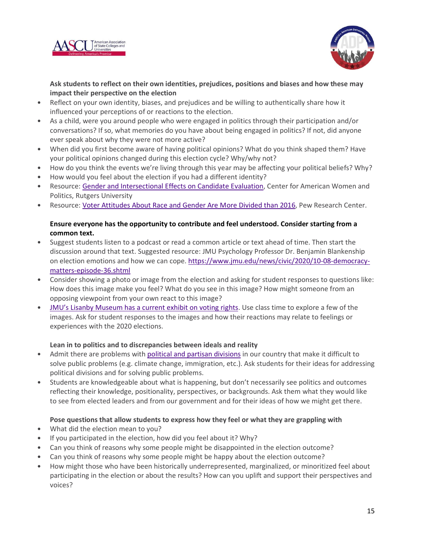



**Ask students to reflect on their own identities, prejudices, positions and biases and how these may impact their perspective on the election**

- Reflect on your own identity, biases, and prejudices and be willing to authentically share how it influenced your perceptions of or reactions to the election.
- As a child, were you around people who were engaged in politics through their participation and/or conversations? If so, what memories do you have about being engaged in politics? If not, did anyone ever speak about why they were not more active?
- When did you first become aware of having political opinions? What do you think shaped them? Have your political opinions changed during this election cycle? Why/why not?
- How do you think the events we're living through this year may be affecting your political beliefs? Why?
- How would you feel about the election if you had a different identity?
- Resource: Gender and [Intersectional](https://womenrun.rutgers.edu/barriers-to-progress/) Effects on Candidate Evaluation, Center for American Women and Politics, Rutgers University
- Resource: Voter [Attitudes](https://www.pewresearch.org/politics/2020/09/10/voters-attitudes-about-race-and-gender-are-even-more-divided-than-in-2016/) About Race and Gender Are More Divided than 2016, Pew Research Center.

### **Ensure everyone has the opportunity to contribute and feel understood. Consider starting from a common text.**

- Suggest students listen to a podcast or read a common article or text ahead of time. Then start the discussion around that text. Suggested resource: JMU Psychology Professor Dr. Benjamin Blankenship on election emotions and how we can cope. [https://www.jmu.edu/news/civic/2020/10-08-democracy](https://www.jmu.edu/news/civic/2020/10-08-democracy-matters-episode-36.shtml)[matters-episode-36.shtml](https://www.jmu.edu/news/civic/2020/10-08-democracy-matters-episode-36.shtml)
- Consider showing a photo or image from the election and asking for student responses to questions like: How does this image make you feel? What do you see in this image? How might someone from an opposing viewpoint from your own react to this image?
- JMU's Lisanby [Museum](https://www.jmu.edu/madisonart/digital_exhibition.shtml) has a current exhibit on voting rights. Use class time to explore a few of the images. Ask for student responses to the images and how their reactions may relate to feelings or experiences with the 2020 elections.

#### **Lean in to politics and to discrepancies between ideals and reality**

- Admit there are problems with political and partisan [divisions](https://www.pewresearch.org/politics/2019/12/17/in-a-politically-polarized-era-sharp-divides-in-both-partisan-coalitions/) in our country that make it difficult to solve public problems (e.g. climate change, immigration, etc.). Ask students for their ideas for addressing political divisions and for solving public problems.
- Students are knowledgeable about what is happening, but don't necessarily see politics and outcomes reflecting their knowledge, positionality, perspectives, or backgrounds. Ask them what they would like to see from elected leaders and from our government and for their ideas of how we might get there.

#### **Pose questions that allow students to express how they feel or what they are grappling with**

- What did the election mean to you?
- If you participated in the election, how did you feel about it? Why?
- Can you think of reasons why some people might be disappointed in the election outcome?
- Can you think of reasons why some people might be happy about the election outcome?
- How might those who have been historically underrepresented, marginalized, or minoritized feel about participating in the election or about the results? How can you uplift and support their perspectives and voices?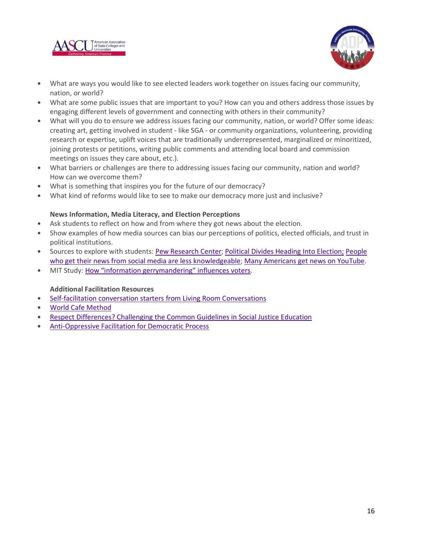



- What are ways you would like to see elected leaders work together on issues facing our community, nation, or world?
- What are some public issues that are important to you? How can you and others address those issues by engaging different levels of government and connecting with others in their community?
- What will you do to ensure we address issues facing our community, nation, or world? Offer some ideas: creating art, getting involved in student - like SGA - or community organizations, volunteering, providing research or expertise, uplift voices that are traditionally underrepresented, marginalized or minoritized, joining protests or petitions, writing public comments and attending local board and commission meetings on issues they care about, etc.).
- What barriers or challenges are there to addressing issues facing our community, nation and world? How can we overcome them?
- What is something that inspires you for the future of our democracy?
- What kind of reforms would like to see to make our democracy more just and inclusive?

#### **News Information, Media Literacy, and Election Perceptions**

- Ask students to reflect on how and from where they got news about the election.
- Show examples of how media sources can bias our perceptions of politics, elected officials, and trust in political institutions.
- Sources to explore with students: Pew [Research](https://www.journalism.org/2020/01/24/u-s-media-polarization-and-the-2020-election-a-nation-divided/) Center; Political Divides Heading Into [Election;](https://www.journalism.org/2020/09/16/political-divides-conspiracy-theories-and-divergent-news-sources-heading-into-2020-election/) [People](https://www.journalism.org/2020/07/30/americans-who-mainly-get-their-news-on-social-media-are-less-engaged-less-knowledgeable/) who get their news from social media are less [knowledgeable;](https://www.journalism.org/2020/07/30/americans-who-mainly-get-their-news-on-social-media-are-less-engaged-less-knowledgeable/) Many [Americans](https://www.journalism.org/2020/09/28/many-americans-get-news-on-youtube-where-news-organizations-and-independent-producers-thrive-side-by-side/) get news on YouTube.
- MIT Study: How "information [gerrymandering"](https://news.mit.edu/2019/information-gerrymandering-influences-voters-0904) influences voters.

#### **Additional Facilitation Resources**

- [Self-facilitation](https://livingroomconversations.org/) conversation starters from Living Room Conversations
- World Cafe [Method](http://www.theworldcafe.com/key-concepts-resources/world-cafe-method/)
- Respect [Differences?](https://democracyeducationjournal.org/home/vol22/iss2/1/) Challenging the Common Guidelines in Social Justice Education
- [Anti-Oppressive](https://aorta.coop/portfolio_page/anti-oppressive-facilitation/) Facilitation for Democratic Process